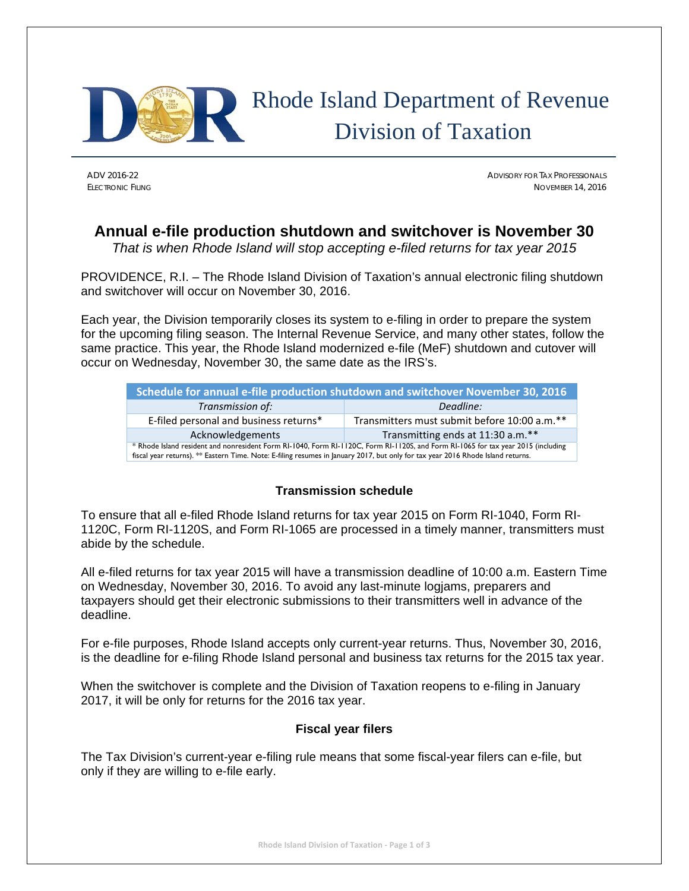

# Rhode Island Department of Revenue Division of Taxation

ADV 2016-22 ADVISORY FOR TAX PROFESSIONALS ELECTRONIC FILING NOVEMBER 14, 2016

## **Annual e-file production shutdown and switchover is November 30**

*That is when Rhode Island will stop accepting e-filed returns for tax year 2015* 

PROVIDENCE, R.I. – The Rhode Island Division of Taxation's annual electronic filing shutdown and switchover will occur on November 30, 2016.

Each year, the Division temporarily closes its system to e-filing in order to prepare the system for the upcoming filing season. The Internal Revenue Service, and many other states, follow the same practice. This year, the Rhode Island modernized e-file (MeF) shutdown and cutover will occur on Wednesday, November 30, the same date as the IRS's.

| Schedule for annual e-file production shutdown and switchover November 30, 2016                                                                                                                                                                                      |                                              |  |  |
|----------------------------------------------------------------------------------------------------------------------------------------------------------------------------------------------------------------------------------------------------------------------|----------------------------------------------|--|--|
| Transmission of:                                                                                                                                                                                                                                                     | Deadline:                                    |  |  |
| E-filed personal and business returns*                                                                                                                                                                                                                               | Transmitters must submit before 10:00 a.m.** |  |  |
| Acknowledgements                                                                                                                                                                                                                                                     | Transmitting ends at 11:30 a.m.**            |  |  |
| * Rhode Island resident and nonresident Form RI-1040, Form RI-1120C, Form RI-1120S, and Form RI-1065 for tax year 2015 (including<br>fiscal year returns). ** Eastern Time. Note: E-filing resumes in January 2017, but only for tax year 2016 Rhode Island returns. |                                              |  |  |

### **Transmission schedule**

To ensure that all e-filed Rhode Island returns for tax year 2015 on Form RI-1040, Form RI-1120C, Form RI-1120S, and Form RI-1065 are processed in a timely manner, transmitters must abide by the schedule.

All e-filed returns for tax year 2015 will have a transmission deadline of 10:00 a.m. Eastern Time on Wednesday, November 30, 2016. To avoid any last-minute logjams, preparers and taxpayers should get their electronic submissions to their transmitters well in advance of the deadline.

For e-file purposes, Rhode Island accepts only current-year returns. Thus, November 30, 2016, is the deadline for e-filing Rhode Island personal and business tax returns for the 2015 tax year.

When the switchover is complete and the Division of Taxation reopens to e-filing in January 2017, it will be only for returns for the 2016 tax year.

#### **Fiscal year filers**

The Tax Division's current-year e-filing rule means that some fiscal-year filers can e-file, but only if they are willing to e-file early.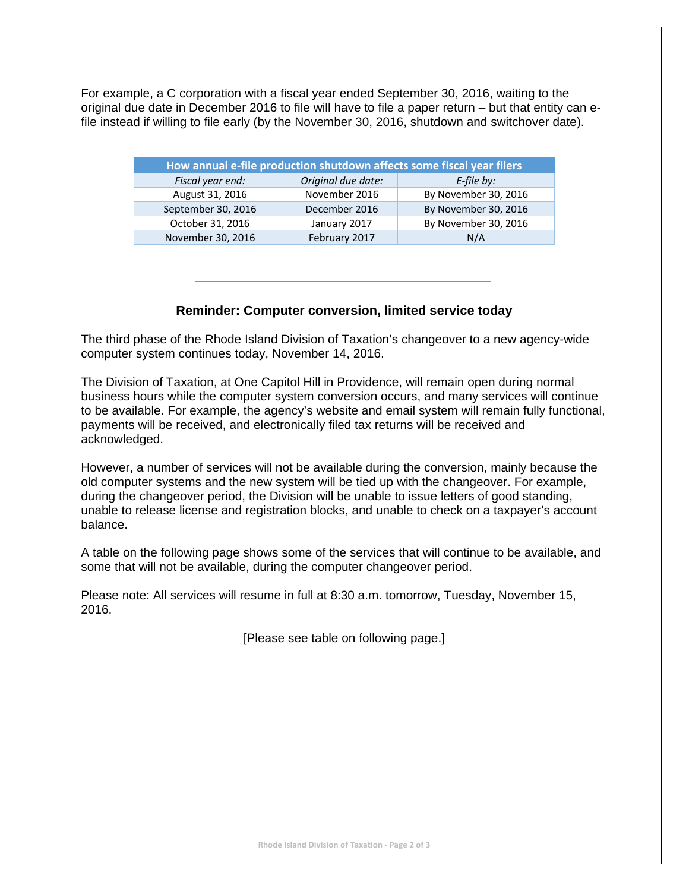For example, a C corporation with a fiscal year ended September 30, 2016, waiting to the original due date in December 2016 to file will have to file a paper return – but that entity can efile instead if willing to file early (by the November 30, 2016, shutdown and switchover date).

| How annual e-file production shutdown affects some fiscal year filers |                    |                      |
|-----------------------------------------------------------------------|--------------------|----------------------|
| Fiscal year end:                                                      | Original due date: | $E$ -file by:        |
| August 31, 2016                                                       | November 2016      | By November 30, 2016 |
| September 30, 2016                                                    | December 2016      | By November 30, 2016 |
| October 31, 2016                                                      | January 2017       | By November 30, 2016 |
| November 30, 2016                                                     | February 2017      | N/A                  |

#### **Reminder: Computer conversion, limited service today**

The third phase of the Rhode Island Division of Taxation's changeover to a new agency-wide computer system continues today, November 14, 2016.

The Division of Taxation, at One Capitol Hill in Providence, will remain open during normal business hours while the computer system conversion occurs, and many services will continue to be available. For example, the agency's website and email system will remain fully functional, payments will be received, and electronically filed tax returns will be received and acknowledged.

However, a number of services will not be available during the conversion, mainly because the old computer systems and the new system will be tied up with the changeover. For example, during the changeover period, the Division will be unable to issue letters of good standing, unable to release license and registration blocks, and unable to check on a taxpayer's account balance.

A table on the following page shows some of the services that will continue to be available, and some that will not be available, during the computer changeover period.

Please note: All services will resume in full at 8:30 a.m. tomorrow, Tuesday, November 15, 2016.

[Please see table on following page.]